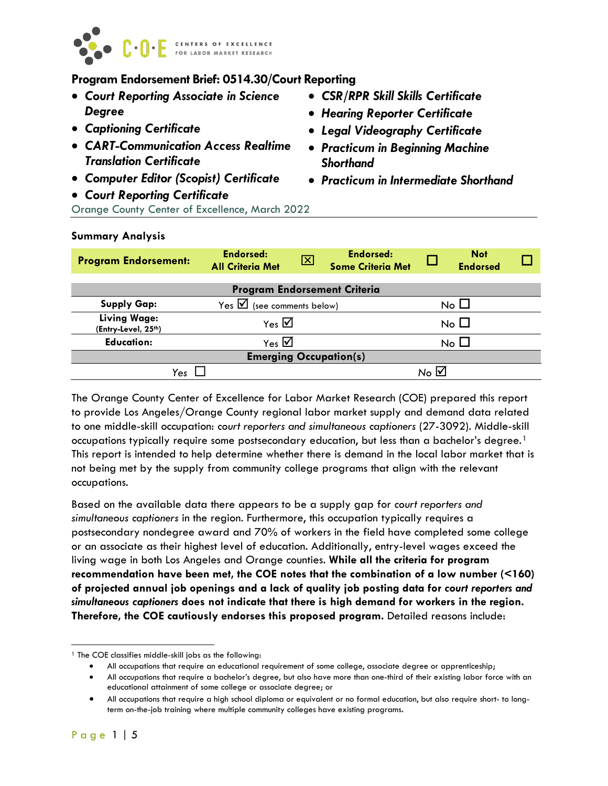

# **Program Endorsement Brief: 0514.30/Court Reporting**

- *Court Reporting Associate in Science Degree*
- *Captioning Certificate*
- *CART-Communication Access Realtime Translation Certificate*
- *Computer Editor (Scopist) Certificate*
- *Court Reporting Certificate*
- *CSR/RPR Skill Skills Certificate*
- *Hearing Reporter Certificate*
- *Legal Videography Certificate*
- *Practicum in Beginning Machine Shorthand*
- *Practicum in Intermediate Shorthand*

Orange County Center of Excellence, March 2022

| <b>Program Endorsement:</b>                | <b>Endorsed:</b><br><b>All Criteria Met</b> | ⊠         | <b>Endorsed:</b><br><b>Some Criteria Met</b> |           | <b>Not</b><br><b>Endorsed</b> |  |  |  |
|--------------------------------------------|---------------------------------------------|-----------|----------------------------------------------|-----------|-------------------------------|--|--|--|
|                                            | <b>Program Endorsement Criteria</b>         |           |                                              |           |                               |  |  |  |
| <b>Supply Gap:</b>                         | Yes $\triangledown$ (see comments below)    | No $\Box$ |                                              |           |                               |  |  |  |
| <b>Living Wage:</b><br>(Entry-Level, 25th) | Yes $\overline{\mathbf{M}}$                 |           |                                              | No $\Box$ |                               |  |  |  |
| <b>Education:</b>                          | Yes $\overline{\mathbf{2}}$                 | No L      |                                              |           |                               |  |  |  |
| <b>Emerging Occupation(s)</b>              |                                             |           |                                              |           |                               |  |  |  |
| Yes                                        |                                             |           | いっぱ                                          |           |                               |  |  |  |

The Orange County Center of Excellence for Labor Market Research (COE) prepared this report to provide Los Angeles/Orange County regional labor market supply and demand data related to one middle-skill occupation: *court reporters and simultaneous captioners* (27-3092). Middle-skill occupations typically require some postsecondary education, but less than a bachelor's degree.<sup>[1](#page-0-0)</sup> This report is intended to help determine whether there is demand in the local labor market that is not being met by the supply from community college programs that align with the relevant occupations.

Based on the available data there appears to be a supply gap for *court reporters and simultaneous captioners* in the region. Furthermore, this occupation typically requires a postsecondary nondegree award and 70% of workers in the field have completed some college or an associate as their highest level of education. Additionally, entry-level wages exceed the living wage in both Los Angeles and Orange counties. **While all the criteria for program recommendation have been met, the COE notes that the combination of a low number (<160) of projected annual job openings and a lack of quality job posting data for** *court reporters and simultaneous captioners* **does not indicate that there is high demand for workers in the region. Therefore, the COE cautiously endorses this proposed program.** Detailed reasons include:

## **Summary Analysis**

<span id="page-0-0"></span> $\overline{a}$ <sup>1</sup> The COE classifies middle-skill jobs as the following:

<sup>•</sup> All occupations that require an educational requirement of some college, associate degree or apprenticeship;

<sup>•</sup> All occupations that require a bachelor's degree, but also have more than one-third of their existing labor force with an educational attainment of some college or associate degree; or

<sup>•</sup> All occupations that require a high school diploma or equivalent or no formal education, but also require short- to longterm on-the-job training where multiple community colleges have existing programs.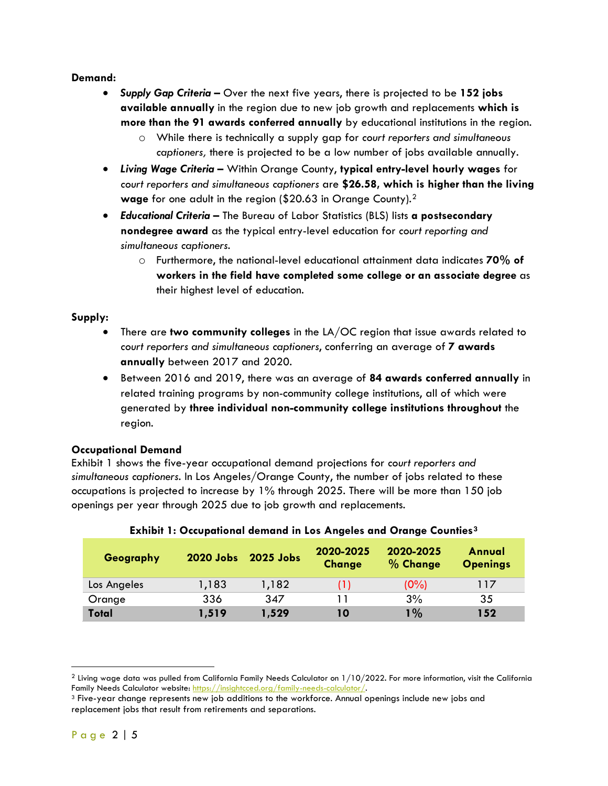## **Demand:**

- *Supply Gap Criteria –* Over the next five years, there is projected to be **152 jobs available annually** in the region due to new job growth and replacements **which is more than the 91 awards conferred annually** by educational institutions in the region.
	- o While there is technically a supply gap for *court reporters and simultaneous captioners,* there is projected to be a low number of jobs available annually.
- *Living Wage Criteria –* Within Orange County, **typical entry-level hourly wages** for *court reporters and simultaneous captioners* are **\$26.58, which is higher than the living wage** for one adult in the region (\$20.63 in Orange County).[2](#page-1-0)
- *Educational Criteria* The Bureau of Labor Statistics (BLS) lists **a postsecondary nondegree award** as the typical entry-level education for *court reporting and simultaneous captioners*.
	- o Furthermore, the national-level educational attainment data indicates **70% of workers in the field have completed some college or an associate degree** as their highest level of education.

# **Supply:**

- There are **two community colleges** in the LA/OC region that issue awards related to *court reporters and simultaneous captioners*, conferring an average of **7 awards annually** between 2017 and 2020.
- Between 2016 and 2019, there was an average of **84 awards conferred annually** in related training programs by non-community college institutions, all of which were generated by **three individual non-community college institutions throughout** the region.

# **Occupational Demand**

Exhibit 1 shows the five-year occupational demand projections for *court reporters and simultaneous captioners*. In Los Angeles/Orange County, the number of jobs related to these occupations is projected to increase by 1% through 2025. There will be more than 150 job openings per year through 2025 due to job growth and replacements.

| Geography    | 2020 Jobs | 2025 Jobs | 2020-2025<br><b>Change</b> | 2020-2025<br>% Change | Annual<br><b>Openings</b> |
|--------------|-----------|-----------|----------------------------|-----------------------|---------------------------|
| Los Angeles  | 1,183     | 1,182     | (1)                        | $(0\%)$               | 117                       |
| Orange       | 336       | 347       |                            | 3%                    | 35                        |
| <b>Total</b> | 1,519     | 1,529     | 10                         | $1\%$                 | 152                       |

# **Exhibit 1: Occupational demand in Los Angeles and Orange Counties[3](#page-1-1)**

 $\overline{a}$ 

<span id="page-1-0"></span><sup>&</sup>lt;sup>2</sup> Living wage data was pulled from California Family Needs Calculator on  $1/10/2022$ . For more information, visit the California Family Needs Calculator website: [https://insightcced.org/family-needs-calculator/.](https://insightcced.org/family-needs-calculator/)

<span id="page-1-1"></span><sup>3</sup> Five-year change represents new job additions to the workforce. Annual openings include new jobs and replacement jobs that result from retirements and separations.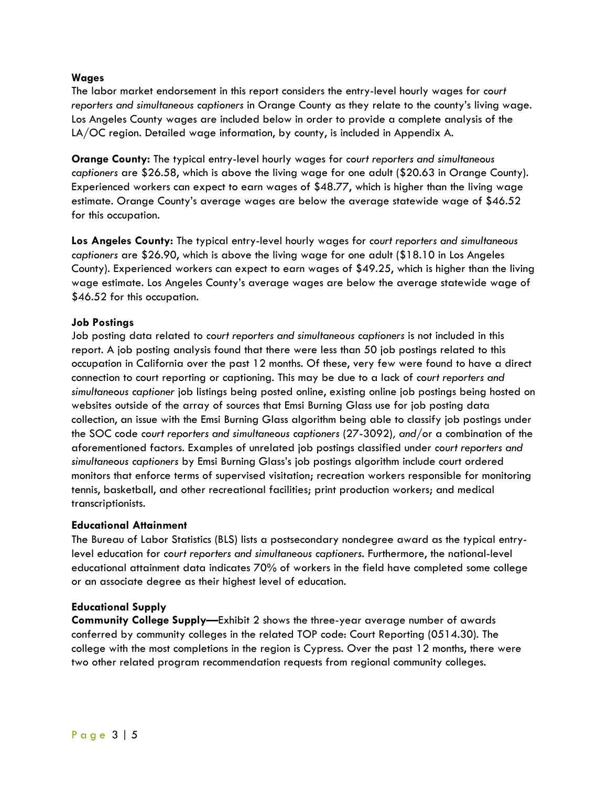#### **Wages**

The labor market endorsement in this report considers the entry-level hourly wages for *court reporters and simultaneous captioners* in Orange County as they relate to the county's living wage. Los Angeles County wages are included below in order to provide a complete analysis of the LA/OC region. Detailed wage information, by county, is included in Appendix A.

**Orange County:** The typical entry-level hourly wages for *court reporters and simultaneous captioners* are \$26.58, which is above the living wage for one adult (\$20.63 in Orange County). Experienced workers can expect to earn wages of \$48.77, which is higher than the living wage estimate. Orange County's average wages are below the average statewide wage of \$46.52 for this occupation.

**Los Angeles County:** The typical entry-level hourly wages for *court reporters and simultaneous captioners* are \$26.90, which is above the living wage for one adult (\$18.10 in Los Angeles County). Experienced workers can expect to earn wages of \$49.25, which is higher than the living wage estimate. Los Angeles County's average wages are below the average statewide wage of \$46.52 for this occupation.

## **Job Postings**

Job posting data related to *court reporters and simultaneous captioners* is not included in this report. A job posting analysis found that there were less than 50 job postings related to this occupation in California over the past 12 months. Of these, very few were found to have a direct connection to court reporting or captioning. This may be due to a lack of *court reporters and simultaneous captioner* job listings being posted online, existing online job postings being hosted on websites outside of the array of sources that Emsi Burning Glass use for job posting data collection, an issue with the Emsi Burning Glass algorithm being able to classify job postings under the SOC code *court reporters and simultaneous captioners* (27-3092)*, and/*or a combination of the aforementioned factors. Examples of unrelated job postings classified under *court reporters and simultaneous captioners* by Emsi Burning Glass's job postings algorithm include court ordered monitors that enforce terms of supervised visitation; recreation workers responsible for monitoring tennis, basketball, and other recreational facilities; print production workers; and medical transcriptionists.

#### **Educational Attainment**

The Bureau of Labor Statistics (BLS) lists a postsecondary nondegree award as the typical entrylevel education for *court reporters and simultaneous captioners*. Furthermore, the national-level educational attainment data indicates 70% of workers in the field have completed some college or an associate degree as their highest level of education.

#### **Educational Supply**

**Community College Supply—**Exhibit 2 shows the three-year average number of awards conferred by community colleges in the related TOP code: Court Reporting (0514.30). The college with the most completions in the region is Cypress. Over the past 12 months, there were two other related program recommendation requests from regional community colleges.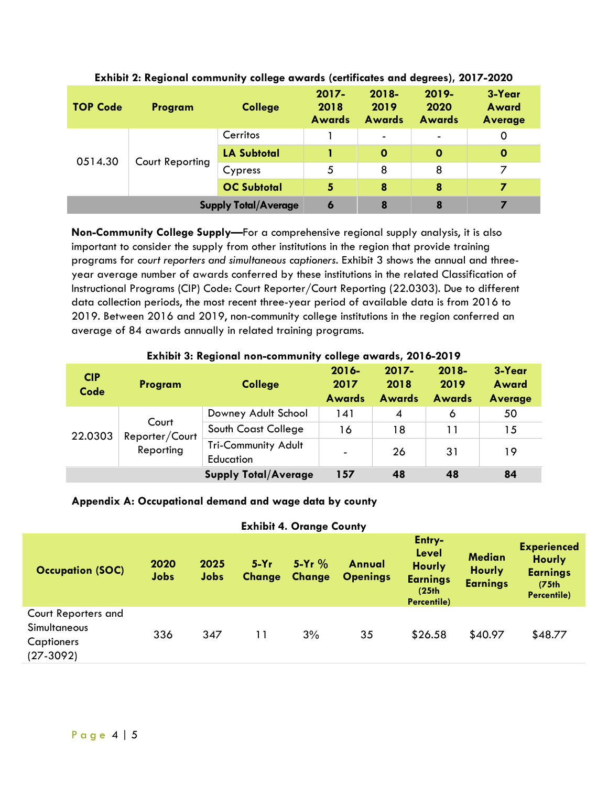| <b>TOP Code</b>             | Program | <b>College</b>     | $2017 -$<br>2018<br><b>Awards</b> | $2018 -$<br>2019<br><b>Awards</b> | $2019 -$<br>2020<br><b>Awards</b> | 3-Year<br>Award<br><b>Average</b> |
|-----------------------------|---------|--------------------|-----------------------------------|-----------------------------------|-----------------------------------|-----------------------------------|
| 0514.30<br>Court Reporting  |         | Cerritos           |                                   | $\overline{\phantom{a}}$          | $\blacksquare$                    | 0                                 |
|                             |         | <b>LA Subtotal</b> |                                   | $\mathbf 0$                       | O                                 | $\mathbf 0$                       |
|                             |         | Cypress            | 5                                 | 8                                 | 8                                 |                                   |
|                             |         | <b>OC Subtotal</b> | 5                                 | 8                                 | 8                                 | 7                                 |
| <b>Supply Total/Average</b> |         | 6                  | 8                                 | 8                                 | 7                                 |                                   |

**Exhibit 2: Regional community college awards (certificates and degrees), 2017-2020**

**Non-Community College Supply—**For a comprehensive regional supply analysis, it is also important to consider the supply from other institutions in the region that provide training programs for *court reporters and simultaneous captioners*. Exhibit 3 shows the annual and threeyear average number of awards conferred by these institutions in the related Classification of Instructional Programs (CIP) Code: Court Reporter/Court Reporting (22.0303). Due to different data collection periods, the most recent three-year period of available data is from 2016 to 2019. Between 2016 and 2019, non-community college institutions in the region conferred an average of 84 awards annually in related training programs.

| <b>EXILIALL OF IVAGUALMI HALL-CALLILLIALLI ), CALLAÑA MALMAL EA LA EALL</b> |                         |                                         |               |               |               |         |  |  |  |
|-----------------------------------------------------------------------------|-------------------------|-----------------------------------------|---------------|---------------|---------------|---------|--|--|--|
| <b>CIP</b>                                                                  |                         |                                         | $2016 -$      | $2017 -$      | $2018 -$      | 3-Year  |  |  |  |
| Code                                                                        | Program                 | <b>College</b>                          | 2017          | 2018          | 2019          | Award   |  |  |  |
|                                                                             |                         |                                         | <b>Awards</b> | <b>Awards</b> | <b>Awards</b> | Average |  |  |  |
| 22.0303                                                                     |                         | Downey Adult School                     | 141           | 4             | 6             | 50      |  |  |  |
|                                                                             | Court<br>Reporter/Court | South Coast College                     | 16            | 18            | 11            | 15      |  |  |  |
|                                                                             | Reporting               | <b>Tri-Community Adult</b><br>Education |               | 26            | 31            | 19      |  |  |  |
|                                                                             |                         | <b>Supply Total/Average</b>             | 157           | 48            | 48            | 84      |  |  |  |

#### **Exhibit 3: Regional non-community college awards, 2016-2019**

#### **Appendix A: Occupational demand and wage data by county**

#### **Exhibit 4. Orange County**

| <b>Occupation (SOC)</b>                                                 | 2020<br>Jobs | 2025<br><b>Jobs</b> | $5-Yr$<br><b>Change</b> | $5-Yr$ %<br>Change | <b>Annual</b><br><b>Openings</b> | Entry-<br><b>Level</b><br><b>Hourly</b><br><b>Earnings</b><br>(25 <sub>th</sub> )<br>Percentile) | <b>Median</b><br><b>Hourly</b><br><b>Earnings</b> | <b>Experienced</b><br><b>Hourly</b><br><b>Earnings</b><br>(75 <sub>th</sub> )<br>Percentile) |
|-------------------------------------------------------------------------|--------------|---------------------|-------------------------|--------------------|----------------------------------|--------------------------------------------------------------------------------------------------|---------------------------------------------------|----------------------------------------------------------------------------------------------|
| Court Reporters and<br><b>Simultaneous</b><br>Captioners<br>$(27-3092)$ | 336          | 347                 | 11                      | 3%                 | 35                               | \$26.58                                                                                          | \$40.97                                           | \$48.77                                                                                      |